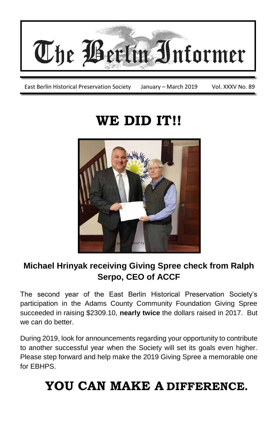

East Berlin Historical Preservation Society January - March 2019 Vol. XXXV No. 89

# **WE DID IT!!**



## **Michael Hrinyak receiving Giving Spree check from Ralph Serpo, CEO of ACCF**

The second year of the East Berlin Historical Preservation Society's participation in the Adams County Community Foundation Giving Spree succeeded in raising \$2309.10, **nearly twice** the dollars raised in 2017. But we can do better.

During 2019, look for announcements regarding your opportunity to contribute to another successful year when the Society will set its goals even higher. Please step forward and help make the 2019 Giving Spree a memorable one for EBHPS.

# **YOU CAN MAKE A DIFFERENCE.**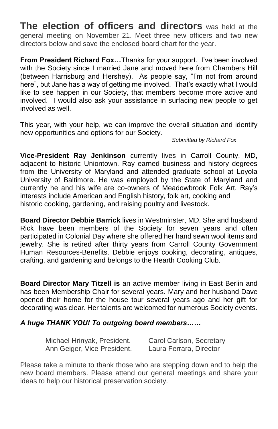**The election of officers and directors** was held at the general meeting on November 21. Meet three new officers and two new directors below and save the enclosed board chart for the year.

**From President Richard Fox…**Thanks for your support. I've been involved with the Society since I married Jane and moved here from Chambers Hill (between Harrisburg and Hershey). As people say, "I'm not from around here", but Jane has a way of getting me involved. That's exactly what I would like to see happen in our Society, that members become more active and involved. I would also ask your assistance in surfacing new people to get involved as well.

This year, with your help, we can improve the overall situation and identify new opportunities and options for our Society.

#### *Submitted by Richard Fox*

**Vice-President Ray Jenkinson** currently lives in Carroll County, MD, adjacent to historic Uniontown. Ray earned business and history degrees from the University of Maryland and attended graduate school at Loyola University of Baltimore. He was employed by the State of Maryland and currently he and his wife are co-owners of Meadowbrook Folk Art. Ray's interests include American and English history, folk art, cooking and historic cooking, gardening, and raising poultry and livestock.

**Board Director Debbie Barrick** lives in Westminster, MD. She and husband Rick have been members of the Society for seven years and often participated in Colonial Day where she offered her hand sewn wool items and jewelry. She is retired after thirty years from Carroll County Government Human Resources-Benefits. Debbie enjoys cooking, decorating, antiques, crafting, and gardening and belongs to the Hearth Cooking Club.

**Board Director Mary Titzell is** an active member living in East Berlin and has been Membership Chair for several years. Mary and her husband Dave opened their home for the house tour several years ago and her gift for decorating was clear. Her talents are welcomed for numerous Society events.

#### *A huge THANK YOU! To outgoing board members……*

| Michael Hrinyak, President. | Carol Carlson, Secretary |
|-----------------------------|--------------------------|
| Ann Geiger, Vice President. | Laura Ferrara, Director  |

Please take a minute to thank those who are stepping down and to help the new board members. Please attend our general meetings and share your ideas to help our historical preservation society.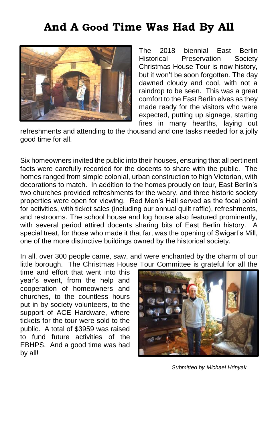## **And A Good Time Was Had By All**



The 2018 biennial East Berlin Historical Preservation Society Christmas House Tour is now history, but it won't be soon forgotten. The day dawned cloudy and cool, with not a raindrop to be seen. This was a great comfort to the East Berlin elves as they made ready for the visitors who were expected, putting up signage, starting fires in many hearths, laying out

refreshments and attending to the thousand and one tasks needed for a jolly good time for all.

Six homeowners invited the public into their houses, ensuring that all pertinent facts were carefully recorded for the docents to share with the public. The homes ranged from simple colonial, urban construction to high Victorian, with decorations to match. In addition to the homes proudly on tour, East Berlin's two churches provided refreshments for the weary, and three historic society properties were open for viewing. Red Men's Hall served as the focal point for activities, with ticket sales (including our annual quilt raffle), refreshments, and restrooms. The school house and log house also featured prominently, with several period attired docents sharing bits of East Berlin history. A special treat, for those who made it that far, was the opening of Swigart's Mill, one of the more distinctive buildings owned by the historical society.

In all, over 300 people came, saw, and were enchanted by the charm of our little borough. The Christmas House Tour Committee is grateful for all the

time and effort that went into this year's event, from the help and cooperation of homeowners and churches, to the countless hours put in by society volunteers, to the support of ACE Hardware, where tickets for the tour were sold to the public. A total of \$3959 was raised to fund future activities of the EBHPS. And a good time was had by all!



*Submitted by Michael Hrinyak*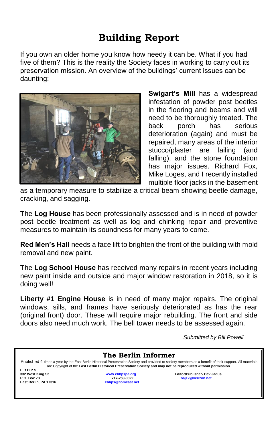## **Building Report**

If you own an older home you know how needy it can be. What if you had five of them? This is the reality the Society faces in working to carry out its preservation mission. An overview of the buildings' current issues can be daunting:



**Swigart's Mill** has a widespread infestation of powder post beetles in the flooring and beams and will need to be thoroughly treated. The back porch has serious deterioration (again) and must be repaired, many areas of the interior stucco/plaster are failing (and falling), and the stone foundation has major issues. Richard Fox, Mike Loges, and I recently installed multiple floor jacks in the basement

as a temporary measure to stabilize a critical beam showing beetle damage, cracking, and sagging.

The **Log House** has been professionally assessed and is in need of powder post beetle treatment as well as log and chinking repair and preventive measures to maintain its soundness for many years to come.

**Red Men's Hall** needs a face lift to brighten the front of the building with mold removal and new paint.

The **Log School House** has received many repairs in recent years including new paint inside and outside and major window restoration in 2018, so it is doing well!

**Liberty #1 Engine House** is in need of many major repairs. The original windows, sills, and frames have seriously deteriorated as has the rear (original front) door. These will require major rebuilding. The front and side doors also need much work. The bell tower needs to be assessed again.

*Submitted by Bill Powell*

| The Berlin Informer                                                                                                                                                                                                                                                        |                                                      |                                                         |  |  |  |  |
|----------------------------------------------------------------------------------------------------------------------------------------------------------------------------------------------------------------------------------------------------------------------------|------------------------------------------------------|---------------------------------------------------------|--|--|--|--|
| Published 4 times a year by the East Berlin Historical Preservation Society and provided to society members as a benefit of their support. All materials<br>are Copyright of the East Berlin Historical Preservation Society and may not be reproduced without permission. |                                                      |                                                         |  |  |  |  |
| E.B.H.P.S.<br>332 West King St.<br>P.O. Box 73<br>East Berlin, PA 17316                                                                                                                                                                                                    | www.ebhpspa.org<br>717-259-0822<br>ebhps@comcast.net | <b>Editor/Publisher- Bev Jadus</b><br>baj12@verizon.net |  |  |  |  |
|                                                                                                                                                                                                                                                                            |                                                      |                                                         |  |  |  |  |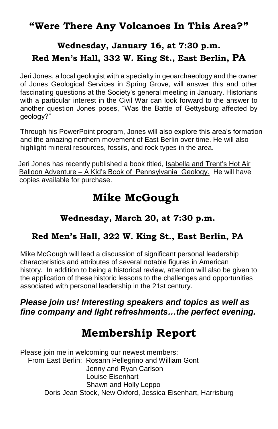## **"Were There Any Volcanoes In This Area?"**

## **Wednesday, January 16, at 7:30 p.m. Red Men's Hall, 332 W. King St., East Berlin, PA**

Jeri Jones, a local geologist with a specialty in geoarchaeology and the owner of Jones Geological Services in Spring Grove, will answer this and other fascinating questions at the Society's general meeting in January. Historians with a particular interest in the Civil War can look forward to the answer to another question Jones poses, "Was the Battle of Gettysburg affected by geology?"

Through his PowerPoint program, Jones will also explore this area's formation and the amazing northern movement of East Berlin over time. He will also highlight mineral resources, fossils, and rock types in the area.

 Jeri Jones has recently published a book titled, Isabella and Trent's Hot Air Balloon Adventure – A Kid's Book of Pennsylvania Geology. He will have copies available for purchase.

## **Mike McGough**

#### **Wednesday, March 20, at 7:30 p.m.**

#### **Red Men's Hall, 322 W. King St., East Berlin, PA**

Mike McGough will lead a discussion of significant personal leadership characteristics and attributes of several notable figures in American history. In addition to being a historical review, attention will also be given to the application of these historic lessons to the challenges and opportunities associated with personal leadership in the 21st century.

#### *Please join us! Interesting speakers and topics as well as fine company and light refreshments…the perfect evening.*

# **Membership Report**

Please join me in welcoming our newest members: From East Berlin: Rosann Pellegrino and William Gont Jenny and Ryan Carlson Louise Eisenhart Shawn and Holly Leppo Doris Jean Stock, New Oxford, Jessica Eisenhart, Harrisburg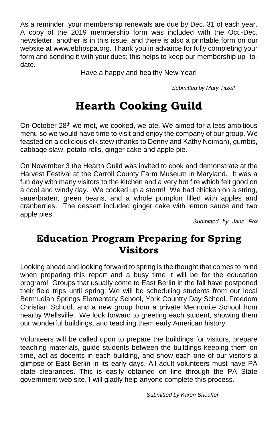As a reminder, your membership renewals are due by Dec. 31 of each year. A copy of the 2019 membership form was included with the Oct.-Dec. newsletter, another is in this issue, and there is also a printable form on our website at www.ebhpspa.org. Thank you in advance for fully completing your form and sending it with your dues; this helps to keep our membership up- todate.

Have a happy and healthy New Year!

*Submitted by Mary Titzell*

# **Hearth Cooking Guild**

On October 28<sup>th</sup> we met, we cooked, we ate. We aimed for a less ambitious menu so we would have time to visit and enjoy the company of our group. We feasted on a delicious elk stew (thanks to Denny and Kathy Neiman), gumbis, cabbage slaw, potato rolls, ginger cake and apple pie.

On November 3 the Hearth Guild was invited to cook and demonstrate at the Harvest Festival at the Carroll County Farm Museum in Maryland. It was a fun day with many visitors to the kitchen and a very hot fire which felt good on a cool and windy day. We cooked up a storm! We had chicken on a string, sauerbraten, green beans, and a whole pumpkin filled with apples and cranberries. The dessert included ginger cake with lemon sauce and two apple pies.

*Submitted by Jane Fox*

## **Education Program Preparing for Spring Visitors**

Looking ahead and looking forward to spring is the thought that comes to mind when preparing this report and a busy time it will be for the education program! Groups that usually come to East Berlin in the fall have postponed their field trips until spring. We will be scheduling students from our local Bermudian Springs Elementary School, York Country Day School, Freedom Christian School, and a new group from a private Mennonite School from nearby Wellsville. We look forward to greeting each student, showing them our wonderful buildings, and teaching them early American history.

Volunteers will be called upon to prepare the buildings for visitors, prepare teaching materials, guide students between the buildings keeping them on time, act as docents in each building, and show each one of our visitors a glimpse of East Berlin in its early days. All adult volunteers must have PA state clearances. This is easily obtained on line through the PA State government web site. I will gladly help anyone complete this process.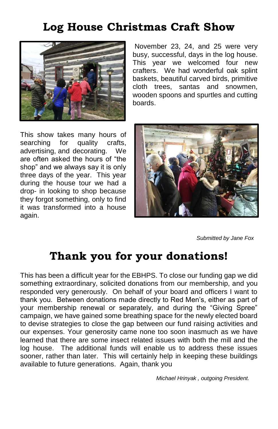# **Log House Christmas Craft Show**



November 23, 24, and 25 were very busy, successful, days in the log house. This year we welcomed four new crafters. We had wonderful oak splint baskets, beautiful carved birds, primitive cloth trees, santas and snowmen, wooden spoons and spurtles and cutting boards.

This show takes many hours of searching for quality crafts, advertising, and decorating. We are often asked the hours of "the shop" and we always say it is only three days of the year. This year during the house tour we had a drop- in looking to shop because they forgot something, only to find it was transformed into a house again.



 *Submitted by Jane Fox*

## **Thank you for your donations!**

This has been a difficult year for the EBHPS. To close our funding gap we did something extraordinary, solicited donations from our membership, and you responded very generously. On behalf of your board and officers I want to thank you. Between donations made directly to Red Men's, either as part of your membership renewal or separately, and during the "Giving Spree" campaign, we have gained some breathing space for the newly elected board to devise strategies to close the gap between our fund raising activities and our expenses. Your generosity came none too soon inasmuch as we have learned that there are some insect related issues with both the mill and the log house. The additional funds will enable us to address these issues sooner, rather than later. This will certainly help in keeping these buildings available to future generations. Again, thank you

*Michael Hrinyak , outgoing President.*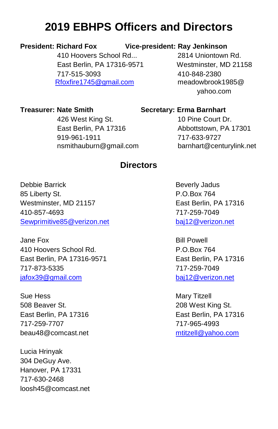# **2019 EBHPS Officers and Directors**

#### **President: Richard Fox Vice-president: Ray Jenkinson**

410 Hoovers School Rd... 2814 Uniontown Rd. East Berlin, PA 17316-9571 Westminster, MD 21158 717-515-3093 410-848-2380 [Rfoxfire1745@gmail.com](mailto:Rfoxfire1745@gmail.com) meadowbrook1985@

yahoo.com

**Treasurer: Nate Smith Secretary: Erma Barnhart**

426 West King St. 10 Pine Court Dr. East Berlin, PA 17316 Abbottstown, PA 17301 919-961-1911 717-633-9727 nsmithauburn@gmail.com barnhart@centurylink.net

#### **Directors**

Debbie Barrick **Beverly Jadus** Beverly Jadus 85 Liberty St. **P.O.Box 764** Westminster, MD 21157 East Berlin, PA 17316 410-857-4693 717-259-7049 [Sewprimitive85@verizon.net](mailto:Sewprimitive85@verizon.net) [baj12@verizon.net](mailto:baj12@verizon.net)

Jane Fox Bill Powell 410 Hoovers School Rd. P.O.Box 764 East Berlin, PA 17316-9571 East Berlin, PA 17316 717-873-5335 717-259-7049 [jafox39@gmail.com](mailto:jafox39@gmail.com) [baj12@verizon.net](mailto:baj12@verizon.net)

Sue Hess Mary Titzell 508 Beaver St. 208 West King St. East Berlin, PA 17316 East Berlin, PA 17316 717-259-7707 717-965-4993 beau48@comcast.net metallowing metallowing metallowing metallowing metallowing metallowing metallowing metallo

Lucia Hrinyak 304 DeGuy Ave. Hanover, PA 17331 717-630-2468 loosh45@comcast.net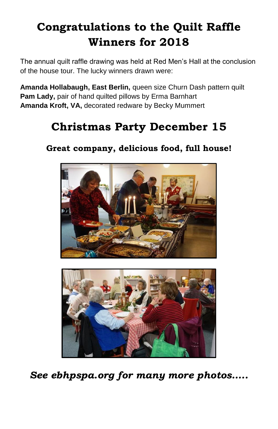# **Congratulations to the Quilt Raffle Winners for 2018**

The annual quilt raffle drawing was held at Red Men's Hall at the conclusion of the house tour. The lucky winners drawn were:

**Amanda Hollabaugh, East Berlin,** queen size Churn Dash pattern quilt Pam Lady, pair of hand quilted pillows by Erma Barnhart **Amanda Kroft, VA,** decorated redware by Becky Mummert

# **Christmas Party December 15**

**Great company, delicious food, full house!**





*See ebhpspa.org for many more photos…..*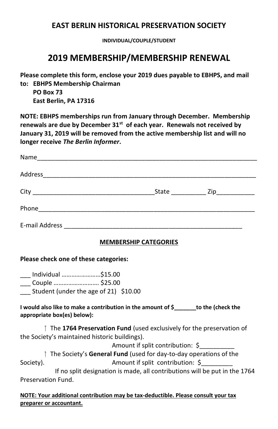#### **EAST BERLIN HISTORICAL PRESERVATION SOCIETY**

**INDIVIDUAL/COUPLE/STUDENT**

### **2019 MEMBERSHIP/MEMBERSHIP RENEWAL**

**Please complete this form, enclose your 2019 dues payable to EBHPS, and mail to: EBHPS Membership Chairman**

 **PO Box 73 East Berlin, PA 17316** 

**NOTE: EBHPS memberships run from January through December. Membership renewals are due by December 31st of each year. Renewals not received by January 31, 2019 will be removed from the active membership list and will no longer receive** *The Berlin Informer***.**

| State <b>Zip</b> |  |
|------------------|--|
|                  |  |
|                  |  |

#### **MEMBERSHIP CATEGORIES**

#### **Please check one of these categories:**

\_\_\_ Individual ……………………\$15.00 \_\_\_ Couple ………………………. \$25.00 Student (under the age of 21) \$10.00

**I would also like to make a contribution in the amount of \$\_\_\_\_\_\_\_to the (check the appropriate box(es) below):**

 The **1764 Preservation Fund** (used exclusively for the preservation of the Society's maintained historic buildings).

Amount if split contribution: \$\_\_\_\_\_\_\_\_\_\_

 The Society's **General Fund** (used for day-to-day operations of the Society). Amount if split contribution: S

 If no split designation is made, all contributions will be put in the 1764 Preservation Fund.

**NOTE: Your additional contribution may be tax-deductible. Please consult your tax preparer or accountant.**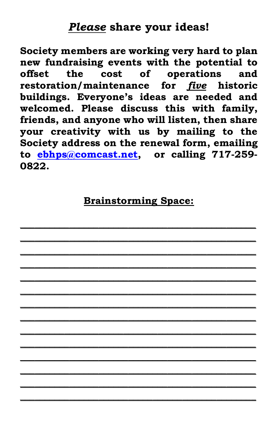## *Please* **share your ideas!**

**Society members are working very hard to plan new fundraising events with the potential to offset the cost of operations and restoration/maintenance for** *five* **historic buildings. Everyone's ideas are needed and welcomed. Please discuss this with family, friends, and anyone who will listen, then share your creativity with us by mailing to the Society address on the renewal form, emailing to [ebhps@comcast.net,](mailto:ebhps@comcast.net) or calling 717-259- 0822.**

## **Brainstorming Space:**

**\_\_\_\_\_\_\_\_\_\_\_\_\_\_\_\_\_\_\_\_\_\_\_\_\_\_\_\_\_\_\_\_\_\_\_\_\_\_\_\_\_\_\_\_\_\_\_\_ \_\_\_\_\_\_\_\_\_\_\_\_\_\_\_\_\_\_\_\_\_\_\_\_\_\_\_\_\_\_\_\_\_\_\_\_\_\_\_\_\_\_\_\_\_\_\_\_ \_\_\_\_\_\_\_\_\_\_\_\_\_\_\_\_\_\_\_\_\_\_\_\_\_\_\_\_\_\_\_\_\_\_\_\_\_\_\_\_\_\_\_\_\_\_\_\_ \_\_\_\_\_\_\_\_\_\_\_\_\_\_\_\_\_\_\_\_\_\_\_\_\_\_\_\_\_\_\_\_\_\_\_\_\_\_\_\_\_\_\_\_\_\_\_\_ \_\_\_\_\_\_\_\_\_\_\_\_\_\_\_\_\_\_\_\_\_\_\_\_\_\_\_\_\_\_\_\_\_\_\_\_\_\_\_\_\_\_\_\_\_\_\_\_ \_\_\_\_\_\_\_\_\_\_\_\_\_\_\_\_\_\_\_\_\_\_\_\_\_\_\_\_\_\_\_\_\_\_\_\_\_\_\_\_\_\_\_\_\_\_\_\_ \_\_\_\_\_\_\_\_\_\_\_\_\_\_\_\_\_\_\_\_\_\_\_\_\_\_\_\_\_\_\_\_\_\_\_\_\_\_\_\_\_\_\_\_\_\_\_\_ \_\_\_\_\_\_\_\_\_\_\_\_\_\_\_\_\_\_\_\_\_\_\_\_\_\_\_\_\_\_\_\_\_\_\_\_\_\_\_\_\_\_\_\_\_\_\_\_ \_\_\_\_\_\_\_\_\_\_\_\_\_\_\_\_\_\_\_\_\_\_\_\_\_\_\_\_\_\_\_\_\_\_\_\_\_\_\_\_\_\_\_\_\_\_\_\_ \_\_\_\_\_\_\_\_\_\_\_\_\_\_\_\_\_\_\_\_\_\_\_\_\_\_\_\_\_\_\_\_\_\_\_\_\_\_\_\_\_\_\_\_\_\_\_\_ \_\_\_\_\_\_\_\_\_\_\_\_\_\_\_\_\_\_\_\_\_\_\_\_\_\_\_\_\_\_\_\_\_\_\_\_\_\_\_\_\_\_\_\_\_\_\_\_ \_\_\_\_\_\_\_\_\_\_\_\_\_\_\_\_\_\_\_\_\_\_\_\_\_\_\_\_\_\_\_\_\_\_\_\_\_\_\_\_\_\_\_\_\_\_\_\_ \_\_\_\_\_\_\_\_\_\_\_\_\_\_\_\_\_\_\_\_\_\_\_\_\_\_\_\_\_\_\_\_\_\_\_\_\_\_\_\_\_\_\_\_\_\_\_\_ \_\_\_\_\_\_\_\_\_\_\_\_\_\_\_\_\_\_\_\_\_\_\_\_\_\_\_\_\_\_\_\_\_\_\_\_\_\_\_\_\_\_\_\_\_\_\_\_**